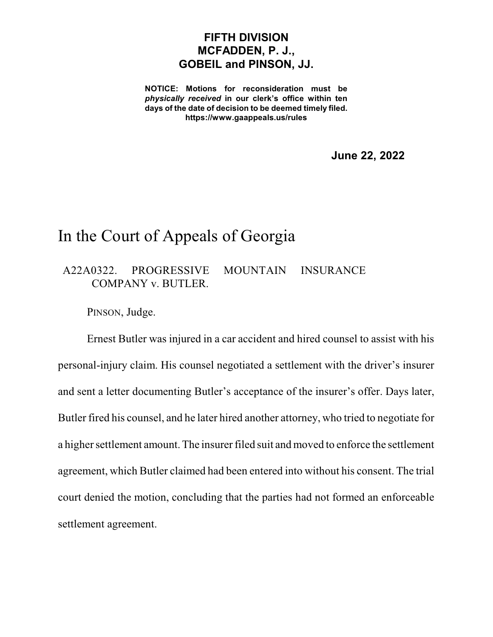## **FIFTH DIVISION MCFADDEN, P. J., GOBEIL and PINSON, JJ.**

**NOTICE: Motions for reconsideration must be** *physically received* **in our clerk's office within ten days of the date of decision to be deemed timely filed. https://www.gaappeals.us/rules**

**June 22, 2022**

## In the Court of Appeals of Georgia

A22A0322. PROGRESSIVE MOUNTAIN INSURANCE COMPANY v. BUTLER.

PINSON, Judge.

Ernest Butler was injured in a car accident and hired counsel to assist with his personal-injury claim. His counsel negotiated a settlement with the driver's insurer and sent a letter documenting Butler's acceptance of the insurer's offer. Days later, Butler fired his counsel, and he later hired another attorney, who tried to negotiate for a higher settlement amount.The insurer filed suit and moved to enforce the settlement agreement, which Butler claimed had been entered into without his consent. The trial court denied the motion, concluding that the parties had not formed an enforceable settlement agreement.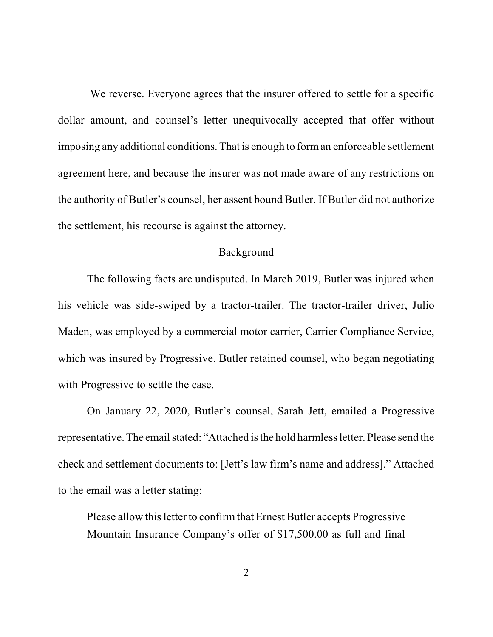We reverse. Everyone agrees that the insurer offered to settle for a specific dollar amount, and counsel's letter unequivocally accepted that offer without imposing any additional conditions. That is enough to forman enforceable settlement agreement here, and because the insurer was not made aware of any restrictions on the authority of Butler's counsel, her assent bound Butler. If Butler did not authorize the settlement, his recourse is against the attorney.

## Background

The following facts are undisputed. In March 2019, Butler was injured when his vehicle was side-swiped by a tractor-trailer. The tractor-trailer driver, Julio Maden, was employed by a commercial motor carrier, Carrier Compliance Service, which was insured by Progressive. Butler retained counsel, who began negotiating with Progressive to settle the case.

On January 22, 2020, Butler's counsel, Sarah Jett, emailed a Progressive representative. The email stated: "Attached is the hold harmless letter. Please send the check and settlement documents to: [Jett's law firm's name and address]." Attached to the email was a letter stating:

Please allow this letter to confirm that Ernest Butler accepts Progressive Mountain Insurance Company's offer of \$17,500.00 as full and final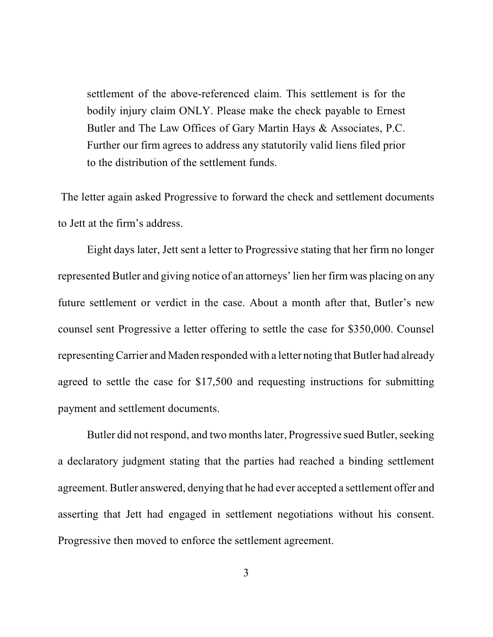settlement of the above-referenced claim. This settlement is for the bodily injury claim ONLY. Please make the check payable to Ernest Butler and The Law Offices of Gary Martin Hays & Associates, P.C. Further our firm agrees to address any statutorily valid liens filed prior to the distribution of the settlement funds.

The letter again asked Progressive to forward the check and settlement documents to Jett at the firm's address.

Eight days later, Jett sent a letter to Progressive stating that her firm no longer represented Butler and giving notice of an attorneys'lien her firm was placing on any future settlement or verdict in the case. About a month after that, Butler's new counsel sent Progressive a letter offering to settle the case for \$350,000. Counsel representing Carrier and Maden responded with a letter noting that Butler had already agreed to settle the case for \$17,500 and requesting instructions for submitting payment and settlement documents.

Butler did not respond, and two monthslater, Progressive sued Butler, seeking a declaratory judgment stating that the parties had reached a binding settlement agreement. Butler answered, denying that he had ever accepted a settlement offer and asserting that Jett had engaged in settlement negotiations without his consent. Progressive then moved to enforce the settlement agreement.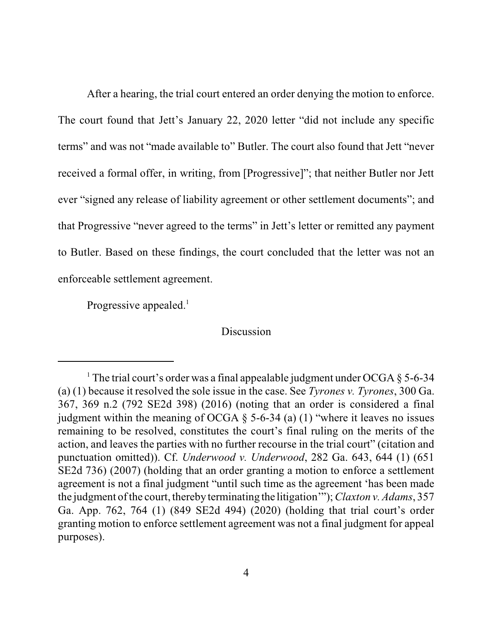After a hearing, the trial court entered an order denying the motion to enforce. The court found that Jett's January 22, 2020 letter "did not include any specific terms" and was not "made available to" Butler. The court also found that Jett "never received a formal offer, in writing, from [Progressive]"; that neither Butler nor Jett ever "signed any release of liability agreement or other settlement documents"; and that Progressive "never agreed to the terms" in Jett's letter or remitted any payment to Butler. Based on these findings, the court concluded that the letter was not an enforceable settlement agreement.

Progressive appealed.<sup>1</sup>

## **Discussion**

<sup>&</sup>lt;sup>1</sup> The trial court's order was a final appealable judgment under OCGA  $\S$  5-6-34 (a) (1) because it resolved the sole issue in the case. See *Tyrones v. Tyrones*, 300 Ga. 367, 369 n.2 (792 SE2d 398) (2016) (noting that an order is considered a final judgment within the meaning of OCGA  $\S$  5-6-34 (a) (1) "where it leaves no issues remaining to be resolved, constitutes the court's final ruling on the merits of the action, and leaves the parties with no further recourse in the trial court" (citation and punctuation omitted)). Cf. *Underwood v. Underwood*, 282 Ga. 643, 644 (1) (651 SE2d 736) (2007) (holding that an order granting a motion to enforce a settlement agreement is not a final judgment "until such time as the agreement 'has been made the judgment of the court, thereby terminating the litigation'");*Claxton v. Adams*, 357 Ga. App. 762, 764 (1) (849 SE2d 494) (2020) (holding that trial court's order granting motion to enforce settlement agreement was not a final judgment for appeal purposes).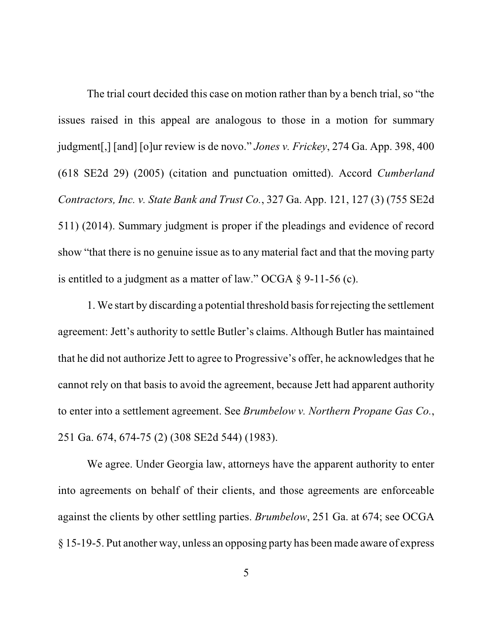The trial court decided this case on motion rather than by a bench trial, so "the issues raised in this appeal are analogous to those in a motion for summary judgment[,] [and] [o]ur review is de novo." *Jones v. Frickey*, 274 Ga. App. 398, 400 (618 SE2d 29) (2005) (citation and punctuation omitted). Accord *Cumberland Contractors, Inc. v. State Bank and Trust Co.*, 327 Ga. App. 121, 127 (3) (755 SE2d 511) (2014). Summary judgment is proper if the pleadings and evidence of record show "that there is no genuine issue as to any material fact and that the moving party is entitled to a judgment as a matter of law." OCGA § 9-11-56 (c).

1. We start by discarding a potential threshold basis for rejecting the settlement agreement: Jett's authority to settle Butler's claims. Although Butler has maintained that he did not authorize Jett to agree to Progressive's offer, he acknowledges that he cannot rely on that basis to avoid the agreement, because Jett had apparent authority to enter into a settlement agreement. See *Brumbelow v. Northern Propane Gas Co.*, 251 Ga. 674, 674-75 (2) (308 SE2d 544) (1983).

We agree. Under Georgia law, attorneys have the apparent authority to enter into agreements on behalf of their clients, and those agreements are enforceable against the clients by other settling parties. *Brumbelow*, 251 Ga. at 674; see OCGA § 15-19-5. Put another way, unless an opposing party has been made aware of express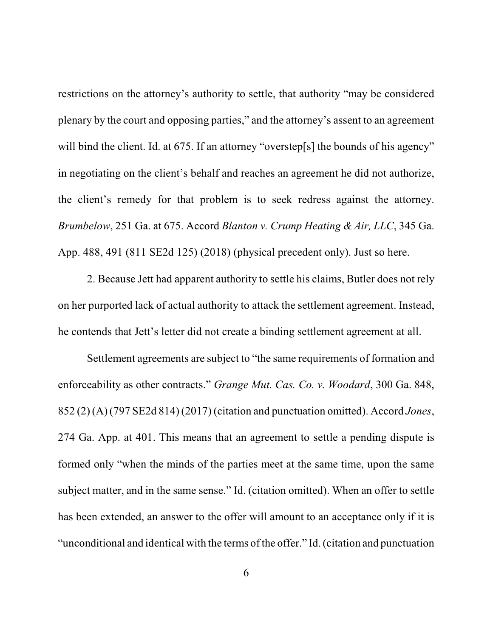restrictions on the attorney's authority to settle, that authority "may be considered plenary by the court and opposing parties," and the attorney's assent to an agreement will bind the client. Id. at 675. If an attorney "overstep[s] the bounds of his agency" in negotiating on the client's behalf and reaches an agreement he did not authorize, the client's remedy for that problem is to seek redress against the attorney. *Brumbelow*, 251 Ga. at 675. Accord *Blanton v. Crump Heating & Air, LLC*, 345 Ga. App. 488, 491 (811 SE2d 125) (2018) (physical precedent only). Just so here.

2. Because Jett had apparent authority to settle his claims, Butler does not rely on her purported lack of actual authority to attack the settlement agreement. Instead, he contends that Jett's letter did not create a binding settlement agreement at all.

Settlement agreements are subject to "the same requirements of formation and enforceability as other contracts." *Grange Mut. Cas. Co. v. Woodard*, 300 Ga. 848, 852 (2)(A) (797 SE2d 814) (2017) (citation and punctuation omitted). Accord *Jones*, 274 Ga. App. at 401. This means that an agreement to settle a pending dispute is formed only "when the minds of the parties meet at the same time, upon the same subject matter, and in the same sense." Id. (citation omitted). When an offer to settle has been extended, an answer to the offer will amount to an acceptance only if it is "unconditional and identical with the terms of the offer." Id. (citation and punctuation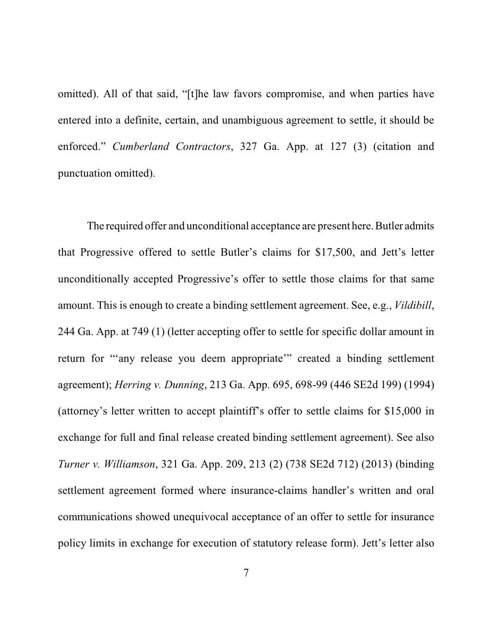omitted). All of that said, "[t]he law favors compromise, and when parties have entered into a definite, certain, and unambiguous agreement to settle, it should be enforced." *Cumberland Contractors*, 327 Ga. App. at 127 (3) (citation and punctuation omitted).

The required offer and unconditional acceptance are present here. Butler admits that Progressive offered to settle Butler's claims for \$17,500, and Jett's letter unconditionally accepted Progressive's offer to settle those claims for that same amount. This is enough to create a binding settlement agreement. See, e.g., *Vildibill*, 244 Ga. App. at 749 (1) (letter accepting offer to settle for specific dollar amount in return for "'any release you deem appropriate'" created a binding settlement agreement); *Herring v. Dunning*, 213 Ga. App. 695, 698-99 (446 SE2d 199) (1994) (attorney's letter written to accept plaintiff's offer to settle claims for \$15,000 in exchange for full and final release created binding settlement agreement). See also *Turner v. Williamson*, 321 Ga. App. 209, 213 (2) (738 SE2d 712) (2013) (binding settlement agreement formed where insurance-claims handler's written and oral communications showed unequivocal acceptance of an offer to settle for insurance policy limits in exchange for execution of statutory release form). Jett's letter also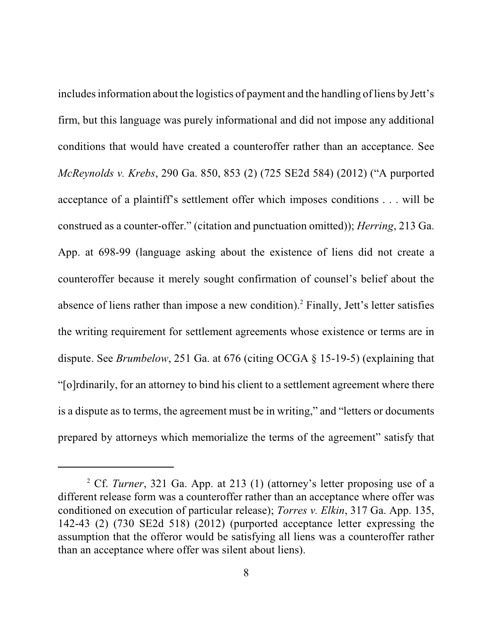includes information about the logistics of payment and the handling of liens by Jett's firm, but this language was purely informational and did not impose any additional conditions that would have created a counteroffer rather than an acceptance. See *McReynolds v. Krebs*, 290 Ga. 850, 853 (2) (725 SE2d 584) (2012) ("A purported acceptance of a plaintiff's settlement offer which imposes conditions . . . will be construed as a counter-offer." (citation and punctuation omitted)); *Herring*, 213 Ga. App. at 698-99 (language asking about the existence of liens did not create a counteroffer because it merely sought confirmation of counsel's belief about the absence of liens rather than impose a new condition).<sup>2</sup> Finally, Jett's letter satisfies the writing requirement for settlement agreements whose existence or terms are in dispute. See *Brumbelow*, 251 Ga. at 676 (citing OCGA § 15-19-5) (explaining that "[o]rdinarily, for an attorney to bind his client to a settlement agreement where there is a dispute as to terms, the agreement must be in writing," and "letters or documents prepared by attorneys which memorialize the terms of the agreement" satisfy that

<sup>2</sup> Cf. *Turner*, 321 Ga. App. at 213 (1) (attorney's letter proposing use of a different release form was a counteroffer rather than an acceptance where offer was conditioned on execution of particular release); *Torres v. Elkin*, 317 Ga. App. 135, 142-43 (2) (730 SE2d 518) (2012) (purported acceptance letter expressing the assumption that the offeror would be satisfying all liens was a counteroffer rather than an acceptance where offer was silent about liens).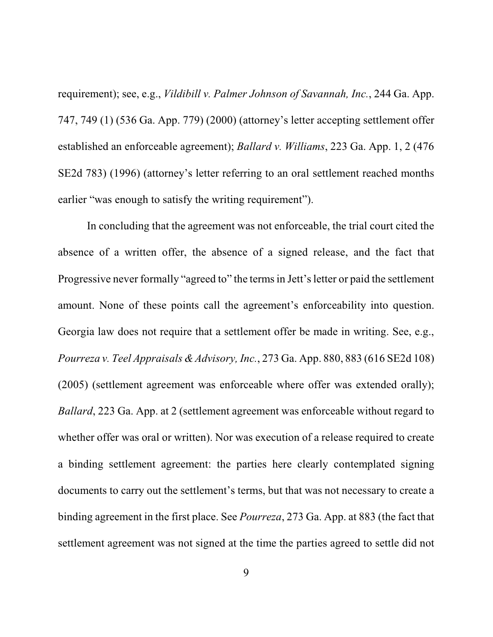requirement); see, e.g., *Vildibill v. Palmer Johnson of Savannah, Inc.*, 244 Ga. App. 747, 749 (1) (536 Ga. App. 779) (2000) (attorney's letter accepting settlement offer established an enforceable agreement); *Ballard v. Williams*, 223 Ga. App. 1, 2 (476 SE2d 783) (1996) (attorney's letter referring to an oral settlement reached months earlier "was enough to satisfy the writing requirement").

In concluding that the agreement was not enforceable, the trial court cited the absence of a written offer, the absence of a signed release, and the fact that Progressive never formally "agreed to" the termsin Jett's letter or paid the settlement amount. None of these points call the agreement's enforceability into question. Georgia law does not require that a settlement offer be made in writing. See, e.g., *Pourreza v. Teel Appraisals &Advisory, Inc.*, 273 Ga. App. 880, 883 (616 SE2d 108) (2005) (settlement agreement was enforceable where offer was extended orally); *Ballard*, 223 Ga. App. at 2 (settlement agreement was enforceable without regard to whether offer was oral or written). Nor was execution of a release required to create a binding settlement agreement: the parties here clearly contemplated signing documents to carry out the settlement's terms, but that was not necessary to create a binding agreement in the first place. See *Pourreza*, 273 Ga. App. at 883 (the fact that settlement agreement was not signed at the time the parties agreed to settle did not